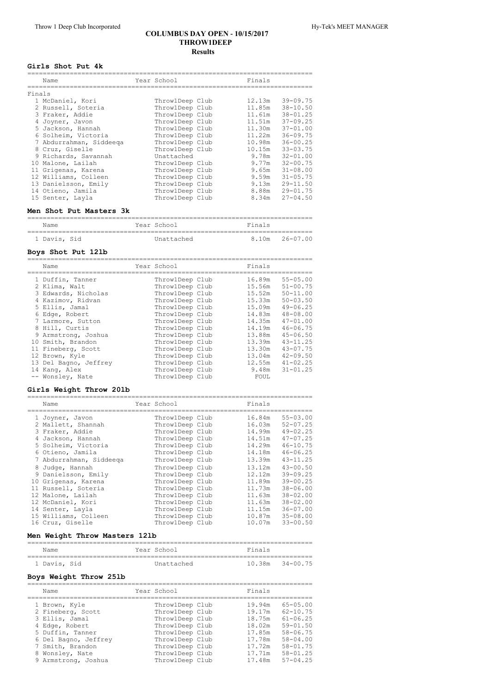#### **COLUMBUS DAY OPEN ‑ 10/15/2017 THROW1DEEP Results**

#### **Girls Shot Put 4k**

|        | Name                    | Year School     | Finals |              |
|--------|-------------------------|-----------------|--------|--------------|
| Finals |                         |                 |        |              |
|        | 1 McDaniel, Kori        | Throw1Deep Club | 12.13m | $39 - 09.75$ |
|        | 2 Russell, Soteria      | Throw1Deep Club | 11.85m | $38 - 10.50$ |
|        | 3 Fraker, Addie         | ThrowlDeep Club | 11.61m | $38 - 01.25$ |
|        | 4 Joyner, Javon         | ThrowlDeep Club | 11.51m | $37 - 09.25$ |
|        | 5 Jackson, Hannah       | ThrowlDeep Club | 11.30m | $37 - 01.00$ |
|        | 6 Solheim, Victoria     | ThrowlDeep Club | 11.22m | $36 - 09.75$ |
|        | 7 Abdurrahman, Siddeega | Throw1Deep Club | 10.98m | $36 - 00.25$ |
|        | 8 Cruz, Giselle         | Throw1Deep Club | 10.15m | $33 - 03.75$ |
|        | 9 Richards, Savannah    | Unattached      | 9.78m  | $32 - 01.00$ |
|        | 10 Malone, Lailah       | Throw1Deep Club | 9.77m  | $32 - 00.75$ |
|        | 11 Grigenas, Karena     | Throw1Deep Club | 9.65m  | $31 - 08.00$ |
|        | 12 Williams, Colleen    | Throw1Deep Club | 9.59m  | $31 - 05.75$ |
|        | 13 Danielsson, Emily    | Throw1Deep Club | 9.13m  | $29 - 11.50$ |
|        | 14 Otieno, Jamila       | Throw1Deep Club | 8.88m  | $29 - 01.75$ |
|        | 15 Senter, Layla        | Throw1Deep Club | 8.34m  | $27 - 04.50$ |

### **Men Shot Put Masters 3k**

| Name         |  | Year School | Finals |                |
|--------------|--|-------------|--------|----------------|
| 1 Davis, Sid |  | Unattached  |        | 8.10m 26-07.00 |

#### **Boys Shot Put 12lb**

| Name                                                                                                                                                                                                                                                                                   | Year School                                                                                                                                                                                                                                                            | Finals                                                                                                                                  |                                                                                                                                                                                                                              |
|----------------------------------------------------------------------------------------------------------------------------------------------------------------------------------------------------------------------------------------------------------------------------------------|------------------------------------------------------------------------------------------------------------------------------------------------------------------------------------------------------------------------------------------------------------------------|-----------------------------------------------------------------------------------------------------------------------------------------|------------------------------------------------------------------------------------------------------------------------------------------------------------------------------------------------------------------------------|
| 1 Duffin, Tanner<br>2 Klima, Walt<br>3 Edwards, Nicholas<br>4 Kazimov, Ridvan<br>5 Ellis, Jamal<br>6 Edge, Robert<br>7 Larmore, Sutton<br>8 Hill, Curtis<br>9 Armstrong, Joshua<br>10 Smith, Brandon<br>11 Fineberg, Scott<br>12 Brown, Kyle<br>13 Del Bagno, Jeffrey<br>14 Kang, Alex | ThrowlDeep Club<br>ThrowlDeep Club<br>ThrowlDeep Club<br>ThrowlDeep Club<br>ThrowlDeep Club<br>ThrowlDeep Club<br>ThrowlDeep Club<br>ThrowlDeep Club<br>ThrowlDeep Club<br>Throw1Deep Club<br>Throw1Deep Club<br>Throw1Deep Club<br>Throw1Deep Club<br>Throw1Deep Club | 16.89m<br>15.56m<br>15.52m<br>15.33m<br>15.09m<br>14.83m<br>14.35m<br>14.19m<br>13.88m<br>13.39m<br>13.30m<br>13.04m<br>12.55m<br>9.48m | $55 - 05.00$<br>$51 - 00.75$<br>$50 - 11.00$<br>$50 - 03.50$<br>$49 - 06.25$<br>$48 - 08.00$<br>$47 - 01.00$<br>$46 - 06.75$<br>$45 - 06.50$<br>$43 - 11.25$<br>$43 - 07.75$<br>$42 - 09.50$<br>$41 - 02.25$<br>$31 - 01.25$ |
| -- Wonsley, Nate                                                                                                                                                                                                                                                                       | Throw1Deep Club                                                                                                                                                                                                                                                        | FOUL                                                                                                                                    |                                                                                                                                                                                                                              |

# **Girls Weight Throw 20lb**

| Name                    | Year School     | Finals |              |
|-------------------------|-----------------|--------|--------------|
| 1 Joyner, Javon         | Throw1Deep Club | 16.84m | $55 - 03.00$ |
| 2 Mallett, Shannah      | ThrowlDeep Club | 16.03m | $52 - 07.25$ |
| 3 Fraker, Addie         | ThrowlDeep Club | 14.99m | $49 - 02.25$ |
| 4 Jackson, Hannah       | ThrowlDeep Club | 14.51m | $47 - 07.25$ |
| 5 Solheim, Victoria     | ThrowlDeep Club | 14.29m | $46 - 10.75$ |
| 6 Otieno, Jamila        | ThrowlDeep Club | 14.18m | $46 - 06.25$ |
| 7 Abdurrahman, Siddeega | ThrowlDeep Club | 13.39m | $43 - 11.25$ |
| 8 Judge, Hannah         | Throw1Deep Club | 13.12m | $43 - 00.50$ |
| 9 Danielsson, Emily     | ThrowlDeep Club | 12.12m | $39 - 09.25$ |
| 10 Grigenas, Karena     | Throw1Deep Club | 11.89m | $39 - 00.25$ |
| 11 Russell, Soteria     | Throw1Deep Club | 11.73m | $38 - 06.00$ |
| 12 Malone, Lailah       | ThrowlDeep Club | 11.63m | $38 - 02.00$ |
| 12 McDaniel, Kori       | Throw1Deep Club | 11.63m | $38 - 02.00$ |
| 14 Senter, Layla        | ThrowlDeep Club | 11.15m | $36 - 07.00$ |
| 15 Williams, Colleen    | ThrowlDeep Club | 10.87m | $35 - 08.00$ |
| 16 Cruz, Giselle        | Throw1Deep Club | 10.07m | $33 - 00.50$ |

# **Men Weight Throw Masters 12lb**

| Name         |  | Year School | Finals              |  |
|--------------|--|-------------|---------------------|--|
|              |  |             |                     |  |
| 1 Davis, Sid |  | Unattached  | $10.38m$ $34-00.75$ |  |

#### **Boys Weight Throw 25lb**

| Name                 | Year School     | Finals |              |
|----------------------|-----------------|--------|--------------|
| 1 Brown, Kyle        | ThrowlDeep Club | 19.94m | $65 - 05.00$ |
| 2 Fineberg, Scott    | ThrowlDeep Club | 19.17m | $62 - 10.75$ |
| 3 Ellis, Jamal       | ThrowlDeep Club | 18.75m | $61 - 06.25$ |
| 4 Edge, Robert       | ThrowlDeep Club | 18.02m | $59 - 01.50$ |
| 5 Duffin, Tanner     | ThrowlDeep Club | 17.85m | $58 - 06.75$ |
| 6 Del Bagno, Jeffrey | ThrowlDeep Club | 17.78m | $58 - 04.00$ |
| 7 Smith, Brandon     | ThrowlDeep Club | 17.72m | $58 - 01.75$ |
| 8 Wonsley, Nate      | ThrowlDeep Club | 17.71m | $58 - 01.25$ |
| 9 Armstrong, Joshua  | ThrowlDeep Club | 17.48m | $57 - 04.25$ |